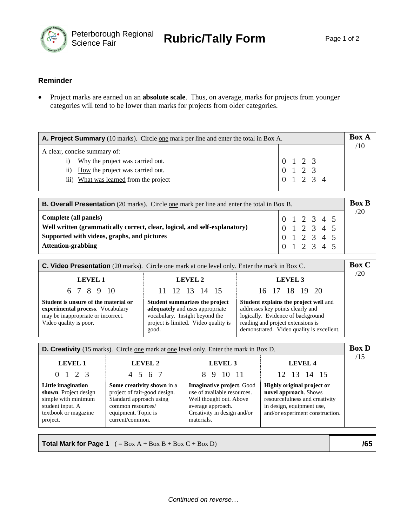

## **Reminder**

• Project marks are earned on an **absolute scale**. Thus, on average, marks for projects from younger categories will tend to be lower than marks for projects from older categories.

| <b>A. Project Summary</b> (10 marks). Circle one mark per line and enter the total in Box A. |                                                                                     |  |  |  |
|----------------------------------------------------------------------------------------------|-------------------------------------------------------------------------------------|--|--|--|
| A clear, concise summary of:                                                                 |                                                                                     |  |  |  |
| Why the project was carried out.<br>1)                                                       | 0 1 2 3                                                                             |  |  |  |
| How the project was carried out.<br>$\overline{11}$                                          | $\begin{array}{cccc}\n0 & 1 & 2 & 3 \\ 0 & 1 & 2 & 3 \\ 1 & 2 & 3 & 4\n\end{array}$ |  |  |  |
| iii) What was learned from the project                                                       |                                                                                     |  |  |  |
|                                                                                              |                                                                                     |  |  |  |

| <b>B. Overall Presentation</b> (20 marks). Circle <u>one</u> mark per line and enter the total in Box B. |                                                                                                           |  |  |  |  | <b>Box B</b> |             |
|----------------------------------------------------------------------------------------------------------|-----------------------------------------------------------------------------------------------------------|--|--|--|--|--------------|-------------|
| Complete (all panels)                                                                                    |                                                                                                           |  |  |  |  |              | $\sqrt{20}$ |
| Well written (grammatically correct, clear, logical, and self-explanatory)                               | $\begin{array}{ccccccccc}\n0 & 1 & 2 & 3 & 4 & 5 \\ 0 & 1 & 2 & 3 & 4 & 5\n\end{array}$                   |  |  |  |  |              |             |
| Supported with videos, graphs, and pictures                                                              | $\begin{array}{rrrr} 0 & 1 & 2 & 3 & 4 & 5 \\ 0 & 1 & 2 & 3 & 4 & 5 \\ 0 & 1 & 2 & 3 & 4 & 5 \end{array}$ |  |  |  |  |              |             |
| <b>Attention-grabbing</b>                                                                                |                                                                                                           |  |  |  |  |              |             |

| <b>C. Video Presentation</b> (20 marks). Circle <u>one</u> mark at <u>one</u> level only. Enter the mark in Box C.                       |                                                                                                                                                      |                                                                                                                                                                                                         |     |  |  |  |
|------------------------------------------------------------------------------------------------------------------------------------------|------------------------------------------------------------------------------------------------------------------------------------------------------|---------------------------------------------------------------------------------------------------------------------------------------------------------------------------------------------------------|-----|--|--|--|
| LEVEL 1                                                                                                                                  | LEVEL 2                                                                                                                                              | <b>LEVEL 3</b>                                                                                                                                                                                          | /20 |  |  |  |
| 6 7 8 9 10                                                                                                                               | 11 12 13 14 15                                                                                                                                       | 16 17 18 19 20                                                                                                                                                                                          |     |  |  |  |
| Student is unsure of the material or<br>experimental process. Vocabulary<br>may be inappropriate or incorrect.<br>Video quality is poor. | Student summarizes the project<br>adequately and uses appropriate<br>vocabulary. Insight beyond the<br>project is limited. Video quality is<br>good. | <b>Student explains the project well and</b><br>addresses key points clearly and<br>logically. Evidence of background<br>reading and project extensions is<br>demonstrated. Video quality is excellent. |     |  |  |  |

| <b>D. Creativity</b> (15 marks). Circle <u>one</u> mark at <u>one</u> level only. Enter the mark in Box D.                 |                                                                                                                                                      |                                                                                                                                                              |                                                                                                                                                       |     |  |  |
|----------------------------------------------------------------------------------------------------------------------------|------------------------------------------------------------------------------------------------------------------------------------------------------|--------------------------------------------------------------------------------------------------------------------------------------------------------------|-------------------------------------------------------------------------------------------------------------------------------------------------------|-----|--|--|
| <b>LEVEL 1</b>                                                                                                             | <b>LEVEL 2</b>                                                                                                                                       | LEVEL <sub>3</sub>                                                                                                                                           | <b>LEVEL 4</b>                                                                                                                                        | /15 |  |  |
| $0 \t1 \t2 \t3$                                                                                                            | 4 5 6 7                                                                                                                                              | 10 11<br>8.<br>-9                                                                                                                                            | 12 13 14 15                                                                                                                                           |     |  |  |
| Little imagination<br>shown. Project design<br>simple with minimum<br>student input. A<br>textbook or magazine<br>project. | Some creativity shown in a<br>project of fair-good design.<br>Standard approach using<br>common resources/<br>equipment. Topic is<br>current/common. | <b>Imaginative project.</b> Good<br>use of available resources.<br>Well thought out. Above<br>average approach.<br>Creativity in design and/or<br>materials. | Highly original project or<br>novel approach. Shows<br>resourcefulness and creativity<br>in design, equipment use,<br>and/or experiment construction. |     |  |  |

**Total Mark for Page 1** ( = Box A + Box B + Box C + Box D) **/65**